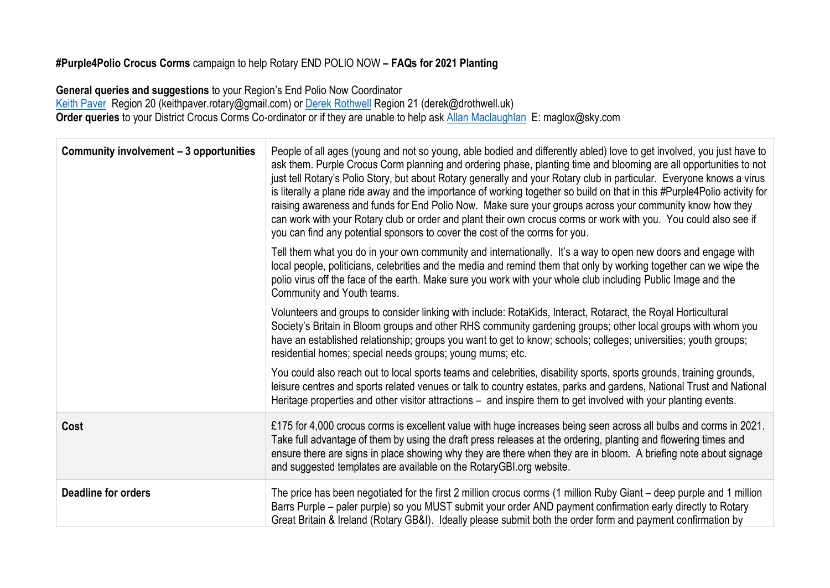## **#Purple4Polio Crocus Corms** campaign to help Rotary END POLIO NOW **– FAQs for 2021 Planting**

**General queries and suggestions** to your Region's End Polio Now Coordinator <u>Keith Paver</u> Region 20 (keithpaver.rotary@gmail.com) or <u>Derek Rothwell</u> Region 21 (derek@drothwell.uk) **Order queries** to your District Crocus Corms Co-ordinator or if they are unable to help ask [Allan Maclaughlan](mailto:maglox@sky.com) E: maglox@sky.com

| Community involvement - 3 opportunities | People of all ages (young and not so young, able bodied and differently abled) love to get involved, you just have to<br>ask them. Purple Crocus Corm planning and ordering phase, planting time and blooming are all opportunities to not<br>just tell Rotary's Polio Story, but about Rotary generally and your Rotary club in particular. Everyone knows a virus<br>is literally a plane ride away and the importance of working together so build on that in this #Purple4Polio activity for<br>raising awareness and funds for End Polio Now. Make sure your groups across your community know how they<br>can work with your Rotary club or order and plant their own crocus corms or work with you. You could also see if<br>you can find any potential sponsors to cover the cost of the corms for you. |
|-----------------------------------------|-----------------------------------------------------------------------------------------------------------------------------------------------------------------------------------------------------------------------------------------------------------------------------------------------------------------------------------------------------------------------------------------------------------------------------------------------------------------------------------------------------------------------------------------------------------------------------------------------------------------------------------------------------------------------------------------------------------------------------------------------------------------------------------------------------------------|
|                                         | Tell them what you do in your own community and internationally. It's a way to open new doors and engage with<br>local people, politicians, celebrities and the media and remind them that only by working together can we wipe the<br>polio virus off the face of the earth. Make sure you work with your whole club including Public Image and the<br>Community and Youth teams.                                                                                                                                                                                                                                                                                                                                                                                                                              |
|                                         | Volunteers and groups to consider linking with include: RotaKids, Interact, Rotaract, the Royal Horticultural<br>Society's Britain in Bloom groups and other RHS community gardening groups; other local groups with whom you<br>have an established relationship; groups you want to get to know; schools; colleges; universities; youth groups;<br>residential homes; special needs groups; young mums; etc.                                                                                                                                                                                                                                                                                                                                                                                                  |
|                                         | You could also reach out to local sports teams and celebrities, disability sports, sports grounds, training grounds,<br>leisure centres and sports related venues or talk to country estates, parks and gardens, National Trust and National<br>Heritage properties and other visitor attractions – and inspire them to get involved with your planting events.                                                                                                                                                                                                                                                                                                                                                                                                                                                 |
| Cost                                    | £175 for 4,000 crocus corms is excellent value with huge increases being seen across all bulbs and corms in 2021.<br>Take full advantage of them by using the draft press releases at the ordering, planting and flowering times and<br>ensure there are signs in place showing why they are there when they are in bloom. A briefing note about signage<br>and suggested templates are available on the RotaryGBI org website.                                                                                                                                                                                                                                                                                                                                                                                 |
| <b>Deadline for orders</b>              | The price has been negotiated for the first 2 million crocus corms (1 million Ruby Giant – deep purple and 1 million<br>Barrs Purple – paler purple) so you MUST submit your order AND payment confirmation early directly to Rotary<br>Great Britain & Ireland (Rotary GB&I). Ideally please submit both the order form and payment confirmation by                                                                                                                                                                                                                                                                                                                                                                                                                                                            |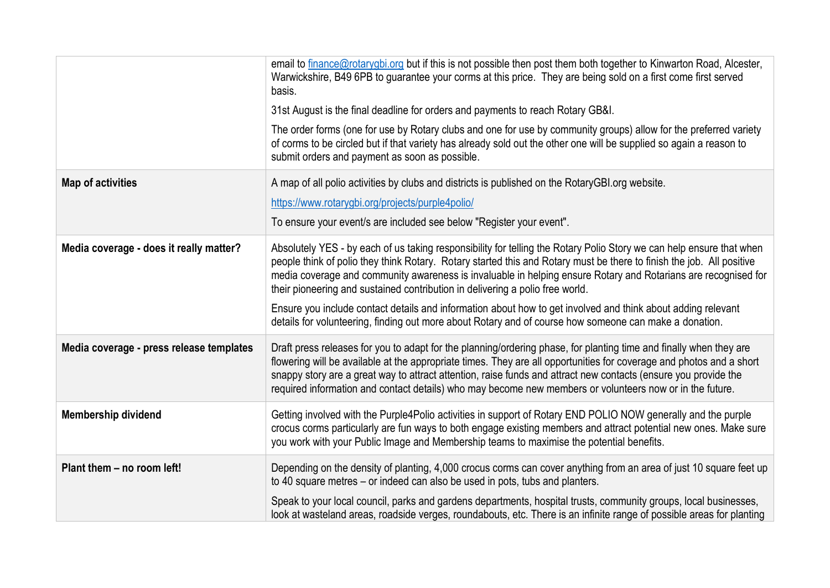|                                          | email to finance@rotarygbi.org but if this is not possible then post them both together to Kinwarton Road, Alcester,<br>Warwickshire, B49 6PB to guarantee your corms at this price. They are being sold on a first come first served<br>basis.                                                                                                                                                                                                                                                                                                                                                                                                                            |
|------------------------------------------|----------------------------------------------------------------------------------------------------------------------------------------------------------------------------------------------------------------------------------------------------------------------------------------------------------------------------------------------------------------------------------------------------------------------------------------------------------------------------------------------------------------------------------------------------------------------------------------------------------------------------------------------------------------------------|
|                                          | 31st August is the final deadline for orders and payments to reach Rotary GB&I.                                                                                                                                                                                                                                                                                                                                                                                                                                                                                                                                                                                            |
|                                          | The order forms (one for use by Rotary clubs and one for use by community groups) allow for the preferred variety<br>of corms to be circled but if that variety has already sold out the other one will be supplied so again a reason to<br>submit orders and payment as soon as possible.                                                                                                                                                                                                                                                                                                                                                                                 |
| <b>Map of activities</b>                 | A map of all polio activities by clubs and districts is published on the RotaryGBI org website.                                                                                                                                                                                                                                                                                                                                                                                                                                                                                                                                                                            |
|                                          | https://www.rotarygbi.org/projects/purple4polio/                                                                                                                                                                                                                                                                                                                                                                                                                                                                                                                                                                                                                           |
|                                          | To ensure your event/s are included see below "Register your event".                                                                                                                                                                                                                                                                                                                                                                                                                                                                                                                                                                                                       |
| Media coverage - does it really matter?  | Absolutely YES - by each of us taking responsibility for telling the Rotary Polio Story we can help ensure that when<br>people think of polio they think Rotary. Rotary started this and Rotary must be there to finish the job. All positive<br>media coverage and community awareness is invaluable in helping ensure Rotary and Rotarians are recognised for<br>their pioneering and sustained contribution in delivering a polio free world.<br>Ensure you include contact details and information about how to get involved and think about adding relevant<br>details for volunteering, finding out more about Rotary and of course how someone can make a donation. |
|                                          |                                                                                                                                                                                                                                                                                                                                                                                                                                                                                                                                                                                                                                                                            |
| Media coverage - press release templates | Draft press releases for you to adapt for the planning/ordering phase, for planting time and finally when they are<br>flowering will be available at the appropriate times. They are all opportunities for coverage and photos and a short<br>snappy story are a great way to attract attention, raise funds and attract new contacts (ensure you provide the<br>required information and contact details) who may become new members or volunteers now or in the future.                                                                                                                                                                                                  |
| <b>Membership dividend</b>               | Getting involved with the Purple4Polio activities in support of Rotary END POLIO NOW generally and the purple<br>crocus corms particularly are fun ways to both engage existing members and attract potential new ones. Make sure<br>you work with your Public Image and Membership teams to maximise the potential benefits.                                                                                                                                                                                                                                                                                                                                              |
| Plant them - no room left!               | Depending on the density of planting, 4,000 crocus corms can cover anything from an area of just 10 square feet up<br>to 40 square metres – or indeed can also be used in pots, tubs and planters.                                                                                                                                                                                                                                                                                                                                                                                                                                                                         |
|                                          | Speak to your local council, parks and gardens departments, hospital trusts, community groups, local businesses,<br>look at wasteland areas, roadside verges, roundabouts, etc. There is an infinite range of possible areas for planting                                                                                                                                                                                                                                                                                                                                                                                                                                  |